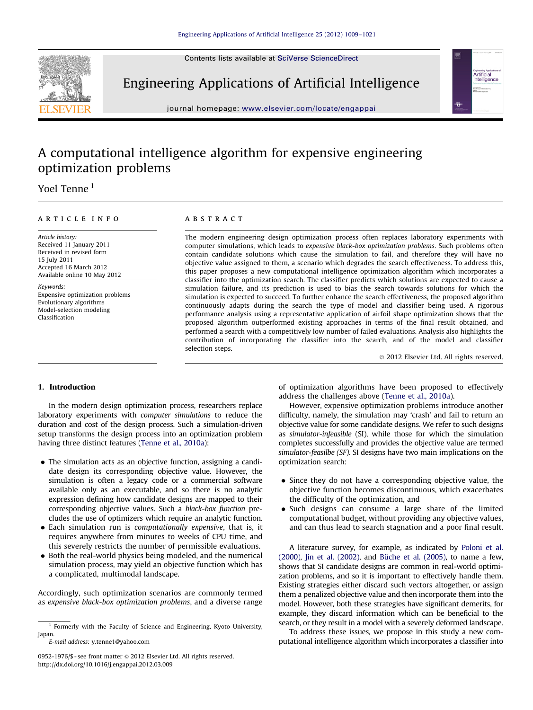Contents lists available at [SciVerse ScienceDirect](www.elsevier.com/locate/engappai)

<span id="page-0-0"></span>

Engineering Applications of Artificial Intelligence



journal homepage: <www.elsevier.com/locate/engappai>

# A computational intelligence algorithm for expensive engineering optimization problems

Yoel Tenne <sup>1</sup>

#### article info

Article history: Received 11 January 2011 Received in revised form 15 July 2011 Accepted 16 March 2012 Available online 10 May 2012

Keywords: Expensive optimization problems Evolutionary algorithms Model-selection modeling Classification

### **ABSTRACT**

The modern engineering design optimization process often replaces laboratory experiments with computer simulations, which leads to expensive black-box optimization problems. Such problems often contain candidate solutions which cause the simulation to fail, and therefore they will have no objective value assigned to them, a scenario which degrades the search effectiveness. To address this, this paper proposes a new computational intelligence optimization algorithm which incorporates a classifier into the optimization search. The classifier predicts which solutions are expected to cause a simulation failure, and its prediction is used to bias the search towards solutions for which the simulation is expected to succeed. To further enhance the search effectiveness, the proposed algorithm continuously adapts during the search the type of model and classifier being used. A rigorous performance analysis using a representative application of airfoil shape optimization shows that the proposed algorithm outperformed existing approaches in terms of the final result obtained, and performed a search with a competitively low number of failed evaluations. Analysis also highlights the contribution of incorporating the classifier into the search, and of the model and classifier selection steps.

 $\odot$  2012 Elsevier Ltd. All rights reserved.

# 1. Introduction

In the modern design optimization process, researchers replace laboratory experiments with computer simulations to reduce the duration and cost of the design process. Such a simulation-driven setup transforms the design process into an optimization problem having three distinct features ([Tenne et al., 2010a](#page--1-0)):

- The simulation acts as an objective function, assigning a candidate design its corresponding objective value. However, the simulation is often a legacy code or a commercial software available only as an executable, and so there is no analytic expression defining how candidate designs are mapped to their corresponding objective values. Such a black-box function precludes the use of optimizers which require an analytic function.
- Each simulation run is computationally expensive, that is, it requires anywhere from minutes to weeks of CPU time, and this severely restricts the number of permissible evaluations.
- $\bullet$  Both the real-world physics being modeled, and the numerical simulation process, may yield an objective function which has a complicated, multimodal landscape.

Accordingly, such optimization scenarios are commonly termed as expensive black-box optimization problems, and a diverse range of optimization algorithms have been proposed to effectively address the challenges above [\(Tenne et al., 2010a](#page--1-0)).

However, expensive optimization problems introduce another difficulty, namely, the simulation may 'crash' and fail to return an objective value for some candidate designs. We refer to such designs as simulator-infeasible (SI), while those for which the simulation completes successfully and provides the objective value are termed simulator-feasilbe (SF). SI designs have two main implications on the optimization search:

- Since they do not have a corresponding objective value, the objective function becomes discontinuous, which exacerbates the difficulty of the optimization, and
- Such designs can consume a large share of the limited computational budget, without providing any objective values, and can thus lead to search stagnation and a poor final result.

A literature survey, for example, as indicated by [Poloni et al.](#page--1-0)  $(2000)$ , Jin et al.  $(2002)$ , and Büche et al.  $(2005)$ , to name a few, shows that SI candidate designs are common in real-world optimization problems, and so it is important to effectively handle them. Existing strategies either discard such vectors altogether, or assign them a penalized objective value and then incorporate them into the model. However, both these strategies have significant demerits, for example, they discard information which can be beneficial to the search, or they result in a model with a severely deformed landscape.

To address these issues, we propose in this study a new computational intelligence algorithm which incorporates a classifier into

<sup>&</sup>lt;sup>1</sup> Formerly with the Faculty of Science and Engineering, Kyoto University, Japan.

E-mail address: [y.tenne1@yahoo.com](mailto:y.tenne1@yahoo.com)

<sup>0952-1976/\$ -</sup> see front matter @ 2012 Elsevier Ltd. All rights reserved. [http://dx.doi.org/10.1016/j.engappai.2012.03.009](dx.doi.org/10.1016/j.engappai.2012.03.009)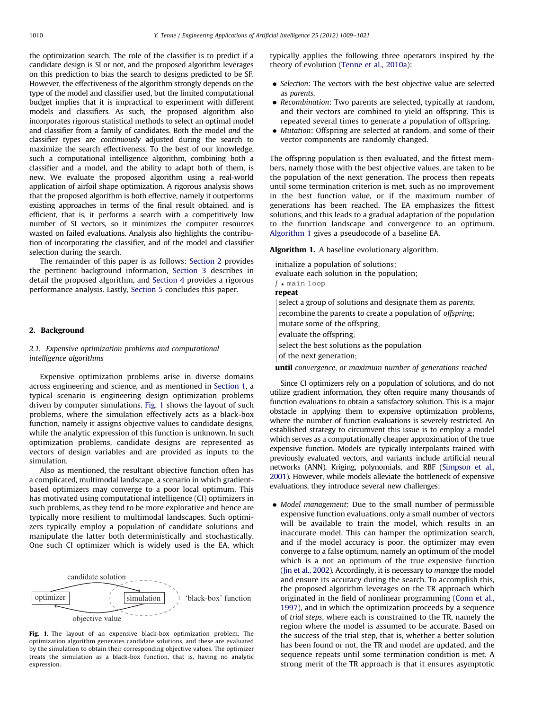--------------

the optimization search. The role of the classifier is to predict if a candidate design is SI or not, and the proposed algorithm leverages on this prediction to bias the search to designs predicted to be SF. However, the effectiveness of the algorithm strongly depends on the type of the model and classifier used, but the limited computational budget implies that it is impractical to experiment with different models and classifiers. As such, the proposed algorithm also incorporates rigorous statistical methods to select an optimal model and classifier from a family of candidates. Both the model and the classifier types are continuously adjusted during the search to maximize the search effectiveness. To the best of our knowledge, such a computational intelligence algorithm, combining both a classifier and a model, and the ability to adapt both of them, is new. We evaluate the proposed algorithm using a real-world application of airfoil shape optimization. A rigorous analysis shows that the proposed algorithm is both effective, namely it outperforms existing approaches in terms of the final result obtained, and is efficient, that is, it performs a search with a competitively low number of SI vectors, so it minimizes the computer resources wasted on failed evaluations. Analysis also highlights the contribution of incorporating the classifier, and of the model and classifier selection during the search.

The remainder of this paper is as follows: Section 2 provides the pertinent background information, [Section 3](#page--1-0) describes in detail the proposed algorithm, and [Section 4](#page--1-0) provides a rigorous performance analysis. Lastly, [Section 5](#page--1-0) concludes this paper.

#### 2. Background

# 2.1. Expensive optimization problems and computational intelligence algorithms

Expensive optimization problems arise in diverse domains across engineering and science, and as mentioned in [Section 1,](#page-0-0) a typical scenario is engineering design optimization problems driven by computer simulations. Fig. 1 shows the layout of such problems, where the simulation effectively acts as a black-box function, namely it assigns objective values to candidate designs, while the analytic expression of this function is unknown. In such optimization problems, candidate designs are represented as vectors of design variables and are provided as inputs to the simulation.

Also as mentioned, the resultant objective function often has a complicated, multimodal landscape, a scenario in which gradientbased optimizers may converge to a poor local optimum. This has motivated using computational intelligence (CI) optimizers in such problems, as they tend to be more explorative and hence are typically more resilient to multimodal landscapes. Such optimizers typically employ a population of candidate solutions and manipulate the latter both deterministically and stochastically. One such CI optimizer which is widely used is the EA, which



Fig. 1. The layout of an expensive black-box optimization problem. The optimization algorithm generates candidate solutions, and these are evaluated by the simulation to obtain their corresponding objective values. The optimizer treats the simulation as a black-box function, that is, having no analytic expression.

typically applies the following three operators inspired by the theory of evolution ([Tenne et al., 2010a](#page--1-0)):

- Selection: The vectors with the best objective value are selected as parents.
- Recombination: Two parents are selected, typically at random, and their vectors are combined to yield an offspring. This is repeated several times to generate a population of offspring.
- $\bullet$  Mutation: Offspring are selected at random, and some of their vector components are randomly changed.

The offspring population is then evaluated, and the fittest members, namely those with the best objective values, are taken to be the population of the next generation. The process then repeats until some termination criterion is met, such as no improvement in the best function value, or if the maximum number of generations has been reached. The EA emphasizes the fittest solutions, and this leads to a gradual adaptation of the population to the function landscape and convergence to an optimum. Algorithm 1 gives a pseudocode of a baseline EA.

# Algorithm 1. A baseline evolutionary algorithm.

initialize a population of solutions; evaluate each solution in the population;  $/\star$  main loop repeat select a group of solutions and designate them as parents; recombine the parents to create a population of offspring; mutate some of the offspring; evaluate the offspring; select the best solutions as the population of the next generation; until convergence, or maximum number of generations reached

Since CI optimizers rely on a population of solutions, and do not utilize gradient information, they often require many thousands of function evaluations to obtain a satisfactory solution. This is a major obstacle in applying them to expensive optimization problems, where the number of function evaluations is severely restricted. An established strategy to circumvent this issue is to employ a model which serves as a computationally cheaper approximation of the true expensive function. Models are typically interpolants trained with previously evaluated vectors, and variants include artificial neural networks (ANN), Kriging, polynomials, and RBF [\(Simpson et al.,](#page--1-0) [2001](#page--1-0)). However, while models alleviate the bottleneck of expensive evaluations, they introduce several new challenges:

• Model management: Due to the small number of permissible expensive function evaluations, only a small number of vectors will be available to train the model, which results in an inaccurate model. This can hamper the optimization search, and if the model accuracy is poor, the optimizer may even converge to a false optimum, namely an optimum of the model which is a not an optimum of the true expensive function ([Jin et al., 2002](#page--1-0)). Accordingly, it is necessary to manage the model and ensure its accuracy during the search. To accomplish this, the proposed algorithm leverages on the TR approach which originated in the field of nonlinear programming [\(Conn et al.,](#page--1-0) [1997\)](#page--1-0), and in which the optimization proceeds by a sequence of trial steps, where each is constrained to the TR, namely the region where the model is assumed to be accurate. Based on the success of the trial step, that is, whether a better solution has been found or not, the TR and model are updated, and the sequence repeats until some termination condition is met. A strong merit of the TR approach is that it ensures asymptotic